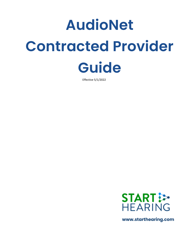# **AudioNet Contracted Provider Guide**

Effective 5/1/2022



**www.starthearing.com**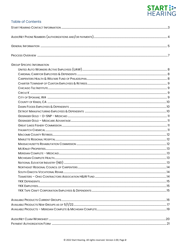# START :

| <b>Table of Contents</b>          |  |
|-----------------------------------|--|
|                                   |  |
|                                   |  |
|                                   |  |
|                                   |  |
| <b>GROUP SPECIFIC INFORMATION</b> |  |
|                                   |  |
|                                   |  |
|                                   |  |
|                                   |  |
|                                   |  |
|                                   |  |
|                                   |  |
|                                   |  |
|                                   |  |
|                                   |  |
|                                   |  |
|                                   |  |
|                                   |  |
|                                   |  |
|                                   |  |
|                                   |  |
|                                   |  |
|                                   |  |
|                                   |  |
|                                   |  |
|                                   |  |
|                                   |  |
|                                   |  |
|                                   |  |
|                                   |  |
|                                   |  |
|                                   |  |
|                                   |  |
|                                   |  |
|                                   |  |
|                                   |  |
|                                   |  |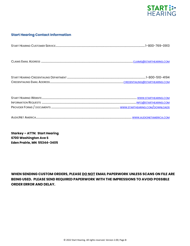

# **Start Hearing Contact Information**

**Starkey – ATTN: Start Hearing 6700 Washington Ave S Eden Prairie, MN 55344-3405**

**WHEN SENDING CUSTOM ORDERS, PLEASE DO NOT EMAIL PAPERWORK UNLESS SCANS ON FILE ARE BEING USED. PLEASE SEND REQUIRED PAPERWORK WITH THE IMPRESSIONS TO AVOID POSSIBLE ORDER ERROR AND DELAY.**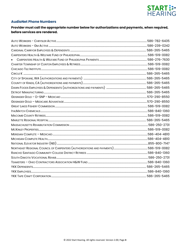

# **AudioNet Phone Numbers**

# Provider must call the appropriate number below for authorizations and payments, when required, before services are rendered.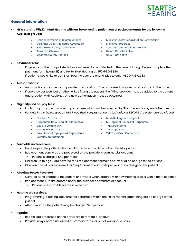

# **General Information**

- **NEW starting 5/1/22: Start Hearing will now be collecting patient out of pocket amounts for the following AudioNet groups:**
	-
	- Geisinger Gold Medicare Advantage McKinley Properties
	- Great Lakes Fishery Commission South Dakota Vocational Rehab
	-
	- Macomb County Retirees UAW GM Active
- Charter Township of Clinton Retirees Massachusetts Rehabilitation Commission
	-
	-
	- Italmatch Chemicals UAW Chrysler Active
		-

- **Payment Form:**
	- Payments for the groups listed above will need to be collected at the time of fitting. Please complete the payment form (page 21) and fax to Start Hearing at 952-995-8884.
	- If patients would like to pay Start Hearing over the phone, please call: 1-800-733-2588
- **Authorizations:**
	- Authorizations are specific to provider and location. The authorized provider must test and fit the patient.
	- If one provider tests but another will be fitting the patient, the fitting provider must be added to the current authorization with AudioNet, or a new authorization must be obtained.
- **Eligibility and co-pay fees:**
	- Each group has their own out of pocket fees which will be collected by Start Hearing or by AudioNet directly.
		- *Patients in the below groups MUST pay their co-pay amounts to AudioNet BEFORE the order can be placed:*
			-
			- Carpenters H&W Fund of Philadelphia NE Regional Council of Carpenters
			- City of Spokane, WA YKK Dependents
			- County of Kings, CA **•** YKK Employees
			- Dawn Foods Employees & Dependents YKK Tape Craft Corporation
			- Detroit Manufacturing
			- Cardinal Carryor 1999 Marlette Regional Hospital
				-
				-
				-
				-

- **Earmolds and receivers:** 
	- No charge to the patient with the initial order or if ordered within the trial period.
	- Replacement earmolds are processed on the provider's commercial account.
		- Patient is charged \$40 per mold.
	- Children up to age 3 are covered for 4 replacement earmolds per year at no charge to the patient.
	- Children ages 4-7 are covered for 2 replacement earmolds per year at no charge to the patient.
- **Absolute Power Receivers:**
	- Covered at no charge to the patient or provider when ordered with new hearing aids or within the trial period.
	- Replacement AP's are ordered under the provider's commercial account
		- **•** Patient is responsible for the invoice total.
- **Hearing aid services:** 
	- Programming, cleaning, adjustments performed within the first 6 months after fitting are no charge to the patient.
	- After 6 months, the patient may be charged \$20 per visit.
- **Repairs:**
	- Repairs are processed on the provider's commercial account.
	- Provider may charge usual and customary rates for out of warranty repairs.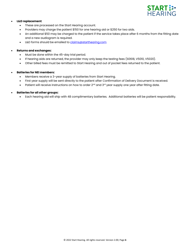

#### • **L&D replacement**:

- These are processed on the Start Hearing account.
- Providers may charge the patient \$150 for one hearing aid or \$250 for two aids.
- An additional \$50 may be charged to the patient if the service takes place after 6 months from the fitting date and a new audiogram is required.
- L&D forms should be emailed t[o claims@starthearing.com](mailto:claims@starthearing.com)

#### • **Returns and exchanges:**

- Must be done within the 45-day trial period.
- If hearing aids are returned, the provider may only keep the testing fees (S0618, V5010, V5020).
- Other billed fees must be remitted to Start Hearing and out of pocket fees returned to the patient.

#### • **Batteries for NEI members:**

- Members receive a 3-year supply of batteries from Start Hearing.
- First year supply will be sent directly to the patient after Confirmation of Delivery Document is received.
- Patient will receive instructions on how to order 2<sup>nd</sup> and 3<sup>rd</sup> year supply one year after fitting date.

#### • **Batteries for all other groups:**

• Each hearing aid will ship with 48 complimentary batteries. Additional batteries will be patient responsibility.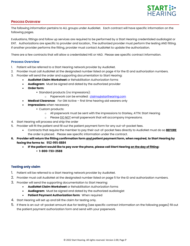

#### **PROCESS OVERVIEW**

The following information pertains to ALL groups under AudioNet. Each contract will have specific information on the following pages.

Evaluations, fittings and follow up services are required to be performed by a Start Hearing credentialed audiologist or ENT. Authorizations are specific to provider and location., The authorized provider must perform the testing AND fitting. If another provider performs the fitting, provider must contact AudioNet to update the authorization.

There are a few contracts that will allow a credentialed HIS or HAD. Please see specific contract information.

#### **Process Overview**

- 1. Patient will be referred to a Start Hearing network provider by AudioNet.
- 2. Provider must call AudioNet at the designated number listed on page 4 for the ID and authorization numbers.
- 3. Provider will send the order and supporting documentation to Start Hearing:
	- **AudioNet Claim Worksheet** or Rehabilitation Authorization forms
	- **Audiogram**: Must be signed and dated by the authorized provider
	- **Order form**:
		- Standard products (no impressions):
			- o Paperwork can be emailed: [claims@starthearing.com](mailto:claims@starthearing.com)
	- **Medical Clearance**: For GM Active first time hearing aid wearers only
	- **Impressions** when necessary
		- Custom products:
			- $\circ$  All paperwork must be sent with the impressions to Starkey, ATTN: Start Hearing
			- o Please DO NOT email paperwork that will accompany impressions.
- 4. Start Hearing will process and ship the order
- 5. Provider will fit the patient and fill out the patient payment form for any out-of-pocket fees.
	- Contracts that require the member to pay their out-of-pocket fees directly to AudioNet must do so **BEFORE** the order is placed. Please see specific information under the contract.
- **6. Provider will return the fitting confirmation form** *and* **patient payment form, when required, to Start Hearing by faxing the forms to: 952-995-8884**
	- **IF the patient would like to pay over the phone, please call Start Hearing on the day of fitting:** ▪ **1-800-733-2588**

# **Testing only claim**

- 1. Patient will be referred to a Start Hearing network provider by AudioNet.
- 2. Provider must call AudioNet at the designated number listed on page 5 for the ID and authorization numbers.
- 3. Provider will send the supporting documentation to Start Hearing:
	- **AudioNet Claim Worksheet** or Rehabilitation Authorization forms
	- **Audiogram**: Must be signed and dated by the authorized audiologist
	- **Patient Payment Authorization form: When required**
- 4. Start Hearing will set up and bill the claim for testing only.
- 5. If there is an out-of-pocket amount due for testing (see specific contract information on the following pages) fill out the patient payment authorization form and send with your paperwork.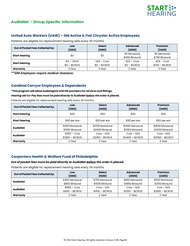

# **AudioNet – Group Specific Information**

# **United Auto Workers (UAW) – GM Active & Fiat Chrysler Active Employees**

Patients are eligible for replacement hearing aids every 36 months.

| Out of Pocket Fees Collected by: | Low           | <b>Select</b> | <b>Advanced</b>                | Premium                        |
|----------------------------------|---------------|---------------|--------------------------------|--------------------------------|
|                                  | (1200)        | (1600)        | (2000)                         | (2400)                         |
| <b>Start Hearing</b>             | \$0           | \$0           | \$0 Monaural<br>\$490 Binaural | \$0 Monaural<br>\$790 Binaural |
| <b>Start Hearing</b>             | $$0 - CROS$   | $N/A$ – Cros  | $N/A$ – Cros                   | $N/A$ – Cros                   |
|                                  | $$0 - BICROS$ | $$0 - BICROS$ | $$0 - BICROS$                  | $$140 - BICROS$                |
| Warranty                         | 3 Year        | 3 Year        | 3 Year                         | 3 Year                         |

*\*\*GM Employees require medical clearance.*

# **Cardinal Carryor Employees & Dependents**

#### *\****This program will allow audiologists and HIS providers for services and fittings.**

#### *Hearing aid Co-Pay fees must be paid directly to AudioNet before the order is placed.*

Patients are eligible for replacement hearing aids every 36 months.

| Out of Pocket Fees Collected by: | Low              | <b>Select</b>    | <b>Advanced</b>  | Premium          |
|----------------------------------|------------------|------------------|------------------|------------------|
|                                  | (1200)           | (1600)           | (2000)           | (2400)           |
| <b>Start Hearing</b>             | \$50             | \$50             | \$50             | \$50             |
| <b>Start Hearing</b>             | \$50 per ear     | \$50 per ear     | \$50 per ear     | \$50 per ear     |
| <b>AudioNet</b>                  | \$950 Monaural   | \$1200 Monaural  | \$1450 Monaural  | \$1600 Monaural  |
|                                  | \$1900 Binaural  | \$2400 Binaural  | \$2900 Binaural  | \$3200 Binaural  |
| <b>AudioNet</b>                  | $$1150 - Cross$  | $Cros - N/A$     | $Cros - N/A$     | $Cros - N/A$     |
|                                  | $$1900 - BICROS$ | $$2150 - BICROS$ | $$2400 - BICROS$ | $$2550 - BICROS$ |
| Warranty                         | 3 Year           | 3 Year           | 3 Year           | 3 Year           |

# **Carpenters Health & Welfare Fund of Philadelphia**

#### *Out of pocket fees must be paid directly to AudioNet before the order is placed.*

| Out of Pocket Fees Collected by: | Low<br>(1200)   | <b>Select</b><br>(1600) | <b>Advanced</b><br>(2000) | Premium<br>(2400) |
|----------------------------------|-----------------|-------------------------|---------------------------|-------------------|
| <b>AudioNet</b>                  | \$450 Monaural  | \$700 Monaural          | \$950 Monaural            | \$1100 Monaural   |
|                                  | \$850 Binaural  | \$1350 Binaural         | \$1850 Binaural           | \$2150 Binaural   |
| AudioNet                         | $$650 - Cros$   | $Cros - N/A$            | $Cros - N/A$              | $Cros - N/A$      |
|                                  | $$850 - BICROS$ | $$1100 - BICROS$        | $$1350 - BICROS$          | $$1500 - BICROS$  |
| Warranty                         | 2 Year          | 2 Year                  | 2 Year                    | 2 Year            |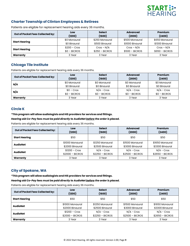

# **Charter Township of Clinton Employees & Retirees**

| Out of Pocket Fees Collected by: | Low<br>(1200)  | <b>Select</b><br>(1600) | <b>Advanced</b><br>(2000) | Premium<br>(2400) |
|----------------------------------|----------------|-------------------------|---------------------------|-------------------|
|                                  | \$0 Monaural   | \$250 Monaural          | \$500 Monaural            | \$650 Monaural    |
| <b>Start Hearing</b>             | \$0 Binaural   | \$500 Binaural          | \$1000 Binaural           | \$1300 Binaural   |
| <b>Start Hearing</b>             | $$200 - Cross$ | $Cros - N/A$            | $Cros - N/A$              | $Cros - N/A$      |
|                                  | $$0 - BICROS$  | $$250 - BICROS$         | $$500 - BICROS$           | $$650 - BICROS$   |
| Warranty                         | 3 Year         | 3 Year                  | 3 Year                    | 3 Year            |

Patients are eligible for replacement hearing aids every 36 months.

# **Chicago Tile Institute**

Patients are eligible for replacement hearing aids every 36 months.

| Out of Pocket Fees Collected by: | Low<br>(1200) | <b>Select</b><br>(1600) | <b>Advanced</b><br>(2000) | Premium<br>(2400) |
|----------------------------------|---------------|-------------------------|---------------------------|-------------------|
| N/A                              | \$0 Monaural  | \$0 Monaural            | \$0 Monaural              | \$0 Monaural      |
|                                  | \$0 Binaural  | \$0 Binaural            | \$0 Binaural              | \$0 Binaural      |
| N/A                              | $$0 - Cross$  | $N/A$ - Cros            | $N/A$ - Cros              | $N/A$ - Cros      |
|                                  | $$0 - BICROS$ | $$0 - BICROS$           | $$0 - BICROS$             | $$0 - BICROS$     |
| Warranty                         | 3 Year        | 3 Year                  | 3 Year                    | 3 Year            |

# **Circle K**

*\****This program will allow audiologists and HIS providers for services and fittings.**

*Hearing aid Co-Pay fees must be paid directly to AudioNet before the order is placed.* 

Patients are eligible for replacement hearing aids every 36 months.

| <b>Out of Pocket Fees Collected by:</b> | Low<br>(1200)    | <b>Select</b><br>(1600) | <b>Advanced</b><br>(2000) | Premium<br>(2400) |
|-----------------------------------------|------------------|-------------------------|---------------------------|-------------------|
| <b>Start Hearing</b>                    | \$50             | \$50                    | \$50                      | \$50              |
| <b>AudioNet</b>                         | \$1000 Monaural  | \$1250 Monaural         | \$1500 Monaural           | \$1650 Monaural   |
|                                         | \$2000 Binaural  | \$2500 Binaural         | \$3000 Binaural           | \$3300 Binaural   |
| <b>AudioNet</b>                         | $$1200 - Cross$  | $N/A$ - Cros            | $N/A$ - Cros              | $N/A$ - Cros      |
|                                         | $$2000 - BICROS$ | $$2250 - BICROS$        | $$2500 - BICROS$          | $$2650 - BICROS$  |
| Warranty                                | 3 Year           | 3 Year                  | 3 Year                    | 3 Year            |

# **City of Spokane, WA**

*\****This program will allow audiologists and HIS providers for services and fittings.**

*Hearing aid Co-Pay fees must be paid directly to AudioNet before the order is placed.* 

| <b>Out of Pocket Fees Collected by:</b> | Low              | <b>Select</b>    | <b>Advanced</b>  | Premium          |
|-----------------------------------------|------------------|------------------|------------------|------------------|
|                                         | (1200)           | (1600)           | (2000)           | (2400)           |
| <b>Start Hearing</b>                    | \$50             | \$50             | \$50             | \$50             |
| <b>AudioNet</b>                         | \$1000 Monaural  | \$1250 Monaural  | \$1500 Monaural  | \$1650 Monaural  |
|                                         | \$2000 Binaural  | \$2500 Binaural  | \$3000 Binaural  | \$3300 Binaural  |
| <b>AudioNet</b>                         | $$1200 - Cross$  | $N/A$ – Cros     | $N/A$ – Cros     | $N/A$ – Cros     |
|                                         | $$2000 - BICROS$ | $$2250 - BICROS$ | $$2500 - BICROS$ | $$2650 - BICROS$ |
| Warranty                                | 3 Year           | 3 Year           | 3 Year           | 3 Year           |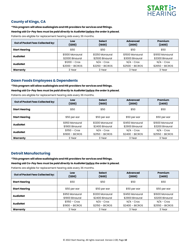

# **County of Kings, CA**

#### *\****This program will allow audiologists and HIS providers for services and fittings.**

#### *Hearing aid Co-Pay fees must be paid directly to AudioNet before the order is placed.*

Patients are eligible for replacement hearing aids every 36 months.

| Out of Pocket Fees Collected by: | Low              | <b>Select</b>    | <b>Advanced</b>  | Premium          |
|----------------------------------|------------------|------------------|------------------|------------------|
|                                  | (1200)           | (1600)           | (2000)           | (2400)           |
| <b>Start Hearing</b>             | \$50             | \$50             | \$50             | \$50             |
| <b>AudioNet</b>                  | \$1000 Monaural  | \$1250 Monaural  | \$1500 Monaural  | \$1650 Monaural  |
|                                  | \$2000 Binaural  | \$2500 Binaural  | \$3000 Binaural  | \$3300 Binaural  |
| <b>AudioNet</b>                  | $$1200 - Cross$  | $N/A$ - Cros     | $N/A$ - Cros     | $N/A$ - Cros     |
|                                  | $$2000 - BICROS$ | $$2250 - BICROS$ | $$2500 - BICROS$ | $$2650 - BICROS$ |
| Warranty                         | 3 Year           | 3 Year           | 3 Year           | 3 Year           |

# **Dawn Foods Employees & Dependents**

#### *\****This program will allow audiologists and HIS providers for services and fittings.**

#### *Hearing aid Co-Pay fees must be paid directly to AudioNet before the order is placed.*

Patients are eligible for replacement hearing aids every 36 months.

| Out of Pocket Fees Collected by: | Low              | <b>Select</b>    | <b>Advanced</b>  | Premium          |
|----------------------------------|------------------|------------------|------------------|------------------|
|                                  | (1200)           | (1600)           | (2000)           | (2400)           |
| <b>Start Hearing</b>             | \$50             | \$50             | \$50             | \$50             |
| <b>Start Hearing</b>             | \$50 per ear     | \$50 per ear     | \$50 per ear     | \$50 per ear     |
| <b>AudioNet</b>                  | \$950 Monaural   | \$1200 Monaural  | \$1450 Monaural  | \$1600 Monaural  |
|                                  | \$1900 Binaural  | \$2400 Binaural  | \$2900 Binaural  | \$3200 Binaural  |
| <b>AudioNet</b>                  | $$1150 - Cros$   | $N/A$ - Cros     | $N/A$ - Cros     | $N/A$ - Cros     |
|                                  | $$1900 - BICROS$ | $$2150 - BICROS$ | $$2400 - BICROS$ | $$2550 - BICROS$ |
| Warranty                         | 3 Year           | 3 Year           | 3 Year           | 3 Year           |

# **Detroit Manufacturing**

*\****This program will allow audiologists and HIS providers for services and fittings.**

#### *Hearing aid Co-Pay fees must be paid directly to AudioNet before the order is placed.*

| Out of Pocket Fees Collected by: | Low              | <b>Select</b>    | <b>Advanced</b>  | Premium          |
|----------------------------------|------------------|------------------|------------------|------------------|
|                                  | (1200)           | (1600)           | (2000)           | (2400)           |
| <b>Start Hearing</b>             | \$50             | \$50             | \$50             | \$50             |
| <b>Start Hearing</b>             | \$50 per ear     | \$50 per ear     | \$50 per ear     | \$50 per ear     |
| <b>AudioNet</b>                  | \$950 Monaural   | \$1200 Monaural  | \$1450 Monaural  | \$1600 Monaural  |
|                                  | \$1900 Binaural  | \$2400 Binaural  | \$2900 Binaural  | \$3200 Binaural  |
| <b>AudioNet</b>                  | $$1150 - Cros$   | $N/A$ - Cros     | $N/A$ - Cros     | $N/A$ - Cros     |
|                                  | $$1900 - BICROS$ | $$2150 - BICROS$ | $$2400 - BICROS$ | $$2550 - BICROS$ |
| Warranty                         | 3 Year           | 3 Year           | 3 Year           | 3 Year           |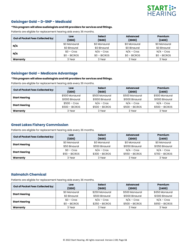

# **Geisinger Gold – D-SNP - Medicaid**

#### *\****This program will allow audiologists and HIS providers for services and fittings.**

Patients are eligible for replacement hearing aids every 36 months.

| Out of Pocket Fees Collected by: | Low<br>(1200) | <b>Select</b><br>(1600) | <b>Advanced</b><br>(2000) | Premium<br>(2400) |
|----------------------------------|---------------|-------------------------|---------------------------|-------------------|
|                                  | \$0 Monaural  | \$0 Monaural            | \$0 Monaural              | \$0 Monaural      |
| N/A                              | \$0 Binaural  | \$0 Binaural            | \$0 Binaural              | \$0 Binaural      |
| N/A                              | $$0 - Cros$   | $N/A$ – Cros            | $N/A$ – Cros              | $N/A$ – Cros      |
|                                  | $$0 - BICROS$ | $$0 - BICROS$           | $$0 - BICROS$             | $$0 - BICROS$     |
| Warranty                         | 3 Year        | 3 Year                  | 3 Year                    | 3 Year            |

# **Geisinger Gold – Medicare Advantage**

#### *\****This program will allow audiologists and HIS providers for services and fittings.**

Patients are eligible for replacement hearing aids every 36 months.

| Out of Pocket Fees Collected by: | Low<br>(1200)   | <b>Select</b><br>(1600) | <b>Advanced</b><br>(2000) | Premium<br>(2400) |
|----------------------------------|-----------------|-------------------------|---------------------------|-------------------|
| <b>Start Hearing</b>             | \$500 Monaural  | \$500 Monaural          | \$500 Monaural            | \$500 Monaural    |
|                                  | \$1000 Binaural | \$1000 Binaural         | \$1000 Binaural           | \$1000 Binaural   |
| <b>Start Hearing</b>             | $$500 - Cros$   | $N/A$ – Cros            | $N/A$ – Cros              | $N/A$ – Cros      |
|                                  | $$500 - BICROS$ | $$500 - BICROS$         | $$500 - BICROS$           | $$500 - BICROS$   |
| Warranty                         | 3 Year          | 3 Year                  | 3 Year                    | 3 Year            |

# **Great Lakes Fishery Commission**

Patients are eligible for replacement hearing aids every 36 months.

| Out of Pocket Fees Collected by: | Low<br>(1200)  | <b>Select</b><br>(1600) | <b>Advanced</b><br>(2000) | Premium<br>(2400) |
|----------------------------------|----------------|-------------------------|---------------------------|-------------------|
| <b>Start Hearing</b>             | \$0 Monaural   | \$0 Monaural            | \$0 Monaural              | \$0 Monaural      |
|                                  | \$50 Binaural  | \$550 Binaural          | \$1050 Binaural           | \$1350 Binaural   |
| <b>Start Hearing</b>             | $$0 - Cros$    | $N/A$ – Cros            | $N/A$ – Cros              | $N/A$ – Cros      |
|                                  | $$50 - BICROS$ | $$300 - BICROS$         | $$550 - BICROS$           | $$700 - BICROS$   |
| Warranty                         | 3 Year         | 3 Year                  | 3 Year                    | 3 Year            |

# **Italmatch Chemical**

| Out of Pocket Fees Collected by: | Low<br>(1200) | <b>Select</b><br>(1600) | <b>Advanced</b><br>(2000) | Premium<br>(2400) |
|----------------------------------|---------------|-------------------------|---------------------------|-------------------|
| <b>Start Hearing</b>             | \$0 Monaural  | \$250 Monaural          | \$500 Monaural            | \$650 Monaural    |
|                                  | \$0 Binaural  | \$500 Binaural          | \$1000 Binaural           | \$1300 Binaural   |
| <b>Start Hearing</b>             | $$0 - Cross$  | $N/A$ – Cros            | $N/A$ – Cros              | $N/A$ – Cros      |
|                                  | $$0 - BICROS$ | $$250 - BICROS$         | $$500 - BICROS$           | $$650 - BICROS$   |
| Warranty                         | 3 Year        | 3 Year                  | 3 Year                    | 3 Year            |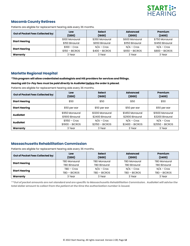

# **Macomb County Retirees**

Patients are eligible for replacement hearing aids every 36 months.

| Out of Pocket Fees Collected by: | Low<br>(1200)   | <b>Select</b><br>(1600) | <b>Advanced</b><br>(2000) | Premium<br>(2400) |
|----------------------------------|-----------------|-------------------------|---------------------------|-------------------|
|                                  | \$100 Monaural  | \$350 Monaural          | \$600 Monaural            | \$750 Monaural    |
| <b>Start Hearing</b>             | \$150 Binaural  | \$650 Binaural          | \$1150 Binaural           | \$1450 Binaural   |
| <b>Start Hearing</b>             | $$100 - Cross$  | $N/A$ – Cros            | $N/A$ – Cros              | $N/A$ – Cros      |
|                                  | $$150 - BICROS$ | $$400 - BICROS$         | $$650 - BICROS$           | $$800 - BICROS$   |
| Warranty                         | 3 Year          | 3 Year                  | 3 Year                    | 3 Year            |

# **Marlette Regional Hospital**

#### *\****This program will allow credentialed audiologists and HIS providers for services and fittings.**

#### *Hearing aid Co-Pay fees must be paid directly to AudioNet before the order is placed.*

Patients are eligible for replacement hearing aids every 36 months.

| Out of Pocket Fees Collected by: | Low              | <b>Select</b>    | <b>Advanced</b>  | Premium          |
|----------------------------------|------------------|------------------|------------------|------------------|
|                                  | (1200)           | (1600)           | (2000)           | (2400)           |
| <b>Start Hearing</b>             | \$50             | \$50             | \$50             | \$50             |
| <b>Start Hearing</b>             | \$50 per ear     | \$50 per ear     | \$50 per ear     | \$50 per ear     |
| <b>AudioNet</b>                  | \$950 Monaural   | \$1200 Monaural  | \$1450 Monaural  | \$1600 Monaural  |
|                                  | \$1900 Binaural  | \$2400 Binaural  | \$2900 Binaural  | \$3200 Binaural  |
| <b>AudioNet</b>                  | $$1150 - Cros$   | $N/A$ – Cros     | $N/A$ – Cros     | $N/A$ – Cros     |
|                                  | $$1900 - BICROS$ | $$2150 - BICROS$ | $$2400 - BICROS$ | $$2550 - BICROS$ |
| Warranty                         | 3 Year           | 3 Year           | 3 Year           | 3 Year           |

# **Massachusetts Rehabilitation Commission**

Patients are eligible for replacement hearing aids every 36 months.

| Out of Pocket Fees Collected by: | Low<br>(1200)       | <b>Select</b><br>(1600) | <b>Advanced</b><br>(2000) | Premium<br>(2400)   |
|----------------------------------|---------------------|-------------------------|---------------------------|---------------------|
| <b>Start Hearing</b>             | <b>TBD Monaural</b> | <b>TBD Monaural</b>     | <b>TBD Monaural</b>       | <b>TBD Monaural</b> |
|                                  | <b>TBD Binaural</b> | <b>TBD Binaural</b>     | <b>TBD Binaural</b>       | <b>TBD Binaural</b> |
| <b>Start Hearing</b>             | $TBD - Cros$        | $N/A$ – Cros            | $N/A$ – Cros              | $N/A$ – Cros        |
|                                  | TBD - BICROS        | TBD - BICROS            | TBD - BICROS              | TBD - BICROS        |
| Warranty                         | 3 Year              | 3 Year                  | 3 Year                    | 3 Year              |

*\*\*Out of pocket amounts are not standard and are specific to Massachusetts Rehabilitation Commission. AudioNet will advise the total dollar amount to collect from the patient at the time the authorization number is issued.*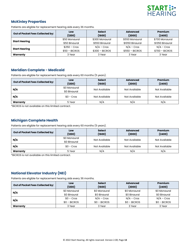

# **McKinley Properties**

Patients are eligible for replacement hearing aids every 36 months.

| Out of Pocket Fees Collected by: | Low<br>(1200)  | <b>Select</b><br>(1600) | <b>Advanced</b><br>(2000) | Premium<br>(2400) |
|----------------------------------|----------------|-------------------------|---------------------------|-------------------|
|                                  | \$50 Monaural  | \$300 Monaural          | \$550 Monaural            | \$700 Monaural    |
| <b>Start Hearing</b>             | \$50 Binaural  | \$550 Binaural          | \$1050 Binaural           | \$1350 Binaural   |
| <b>Start Hearing</b>             | $$250 - Cros$  | $N/A$ – Cros            | $N/A$ – Cros              | $N/A$ – Cros      |
|                                  | $$50 - BICROS$ | $$300 - BICROS$         | $$550 - BICROS$           | $$700 - BICROS$   |
| Warranty                         | 3 Year         | 3 Year                  | 3 Year                    | 3 Year            |

# **Meridian Complete - Medicaid**

Patients are eligible for replacement hearing aids every 60 months (5 years).

| Out of Pocket Fees Collected by: | Low<br>(1200)                | <b>Select</b><br>(1600) | Advanced<br>(2000) | Premium<br>(2400) |
|----------------------------------|------------------------------|-------------------------|--------------------|-------------------|
| N/A                              | \$0 Monaural<br>\$0 Binaural | Not Available           | Not Available      | Not Available     |
| N/A                              | $$0 - Cross$                 | Not Available           | Not Available      | Not Available     |
| Warranty                         | 5 Year                       | N/A                     | N/A                | N/A               |

\*BiCROS is not available on this limited contract.

# **Michigan Complete Health**

Patients are eligible for replacement hearing aids every 60 months (5 years).

| <b>Out of Pocket Fees Collected by:</b> | Low<br>(1200)                | <b>Select</b><br>(1600) | Advanced<br>(2000) | Premium<br>(2400) |
|-----------------------------------------|------------------------------|-------------------------|--------------------|-------------------|
| N/A                                     | \$0 Monaural<br>\$0 Binaural | Not Available           | Not Available      | Not Available     |
| N/A                                     | $$0 - Cross$                 | Not Available           | Not Available      | Not Available     |
| Warranty                                | 5 Year                       | N/A                     | N/A                | N/A               |

\*BiCROS is not available on this limited contract.

# **National Elevator Industry (NEI)**

| Out of Pocket Fees Collected by: | Low<br>(1200) | <b>Select</b><br>(1600) | <b>Advanced</b><br>(2000) | Premium<br>(2400) |
|----------------------------------|---------------|-------------------------|---------------------------|-------------------|
| N/A                              | \$0 Monaural  | \$0 Monaural            | \$0 Monaural              | \$0 Monaural      |
|                                  | \$0 Binaural  | \$0 Binaural            | \$0 Binaural              | \$0 Binaural      |
| N/A                              | $$0 - Cros$   | $N/A$ – Cros            | $N/A$ – Cros              | $N/A$ – Cros      |
|                                  | $$0 - BICROS$ | $$0 - BICROS$           | $$0 - BICROS$             | $$0 - BICROS$     |
| Warranty                         | 3 Year        | 3 Year                  | 3 Year                    | 3 Year            |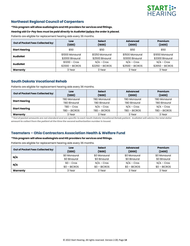

# **Northeast Regional Council of Carpenters**

#### *\****This program will allow audiologists and HIS providers for services and fittings.**

#### *Hearing aid Co-Pay fees must be paid directly to AudioNet before the order is placed.*

Patients are eligible for replacement hearing aids every 36 months.

| Out of Pocket Fees Collected by: | Low              | <b>Select</b>    | <b>Advanced</b>  | Premium          |  |
|----------------------------------|------------------|------------------|------------------|------------------|--|
|                                  | (1200)           | (1600)           | (2000)           | (2400)           |  |
| \$50<br><b>Start Hearing</b>     |                  | \$50             | \$50             | \$50             |  |
| <b>AudioNet</b>                  | \$1000 Monaural  | \$1250 Monaural  | \$1500 Monaural  | \$1650 Monaural  |  |
|                                  | \$2000 Binaural  | \$2500 Binaural  | \$3000 Binaural  | \$3300 Binaural  |  |
| <b>AudioNet</b>                  | $$1200 - Cross$  | $N/A$ – Cros     | $N/A$ – Cros     | $N/A$ – Cros     |  |
|                                  | $$2000 - BICROS$ | $$2250 - BICROS$ | $$2500 - BICROS$ | $$2650 - BICROS$ |  |
| Warranty                         | 3 Year           | 3 Year           | 3 Year           | 3 Year           |  |

# **South Dakota Vocational Rehab**

Patients are eligible for replacement hearing aids every 36 months.

| Out of Pocket Fees Collected by: | Low<br>(1200)       | <b>Select</b><br>(1600) | <b>Advanced</b><br>(2000) | Premium<br>(2400)   |
|----------------------------------|---------------------|-------------------------|---------------------------|---------------------|
|                                  | <b>TBD Monaural</b> | <b>TBD Monaural</b>     | <b>TBD Monaural</b>       | <b>TBD Monaural</b> |
| <b>Start Hearing</b>             | <b>TBD Binaural</b> | <b>TBD Binaural</b>     | <b>TBD Binaural</b>       | <b>TBD Binaural</b> |
|                                  | $TBD - Cross$       | $N/A$ – Cros            | $N/A$ – Cros              | $N/A$ – Cros        |
| <b>Start Hearing</b>             | TBD - BICROS        | TBD - BICROS            | TBD - BICROS              | TBD - BICROS        |
| Warranty                         | 3 Year              | 3 Year                  | 3 Year                    | 3 Year              |

*\*\*Out of pocket amounts are not standard and are specific to each South Dakota Vocational Rehab patient. AudioNet will advise the total dollar amount to collect from the patient at the time the second authorization number is issued.*

# **Teamsters – Ohio Contractors Association Health & Welfare Fund**

#### *\****This program will allow audiologists and HIS providers for services and fittings.**

| Out of Pocket Fees Collected by: | Low<br>(1200) | <b>Select</b><br>(1600) | <b>Advanced</b><br>(2000) | Premium<br>(2400) |
|----------------------------------|---------------|-------------------------|---------------------------|-------------------|
| N/A                              | \$0 Monaural  | \$0 Monaural            | \$0 Monaural              | \$0 Monaural      |
|                                  | \$0 Binaural  | \$0 Binaural            | \$0 Binaural              | \$0 Binaural      |
| N/A                              | $$0 - Cros$   | $N/A$ – Cros            | $N/A$ – Cros              | $N/A$ – Cros      |
|                                  | $$0 - BICROS$ | $$0 - BICROS$           | $$0 - BICROS$             | $$0 - BICROS$     |
| Warranty                         | 3 Year        | 3 Year                  | 3 Year                    | 3 Year            |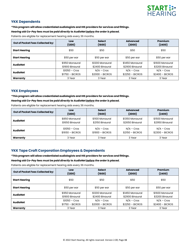

# **YKK Dependents**

*\****This program will allow credentialed audiologists and HIS providers for services and fittings.**

*Hearing aid Co-Pay fees must be paid directly to AudioNet before the order is placed.* 

Patients are eligible for replacement hearing aids every 36 months.

| Out of Pocket Fees Collected by: | Low              | <b>Select</b>    | <b>Advanced</b>  | Premium          |
|----------------------------------|------------------|------------------|------------------|------------------|
|                                  | (1200)           | (1600)           | (2000)           | (2400)           |
| <b>Start Hearing</b>             | \$50             | \$50             | \$50             | \$50             |
| <b>Start Hearing</b>             | \$50 per ear     | \$50 per ear     | \$50 per ear     | \$50 per ear     |
| <b>AudioNet</b>                  | \$950 Monaural   | \$1200 Monaural  | \$1450 Monaural  | \$1600 Monaural  |
|                                  | \$1900 Binaural  | \$2400 Binaural  | \$2900 Binaural  | \$3200 Binaural  |
| <b>AudioNet</b>                  | $$1050 - Cross$  | $N/A$ – Cros     | $N/A$ – Cros     | $N/A$ – Cros     |
|                                  | $$1750 - BICROS$ | $$2000 - BICROS$ | $$2250 - BICROS$ | $$2400 - BICROS$ |
| Warranty                         | 3 Year           | 3 Year           | 3 Year           | 3 Year           |

# **YKK Employees**

#### *\****This program will allow credentialed audiologists and HIS providers for services and fittings.**

#### *Hearing aid Co-Pay fees must be paid directly to AudioNet before the order is placed.*

Patients are eligible for replacement hearing aids every 36 months.

| Out of Pocket Fees Collected by: | Low              | <b>Select</b>    | <b>Advanced</b>  | Premium          |
|----------------------------------|------------------|------------------|------------------|------------------|
|                                  | (1200)           | (1600)           | (2000)           | (2400)           |
| <b>AudioNet</b>                  | \$850 Monaural   | \$1100 Monaural  | \$1350 Monaural  | \$1500 Monaural  |
|                                  | \$1650 Binaural  | \$2150 Binaural  | \$2650 Binaural  | \$2950 Binaural  |
| <b>AudioNet</b>                  | $$1050 - Cross$  | $N/A$ – Cros     | $N/A$ – Cros     | $N/A$ – Cros     |
|                                  | $$1650 - BICROS$ | $$1900 - BICROS$ | $$2150 - BICROS$ | $$2300 - BICROS$ |
| Warranty                         | 3 Year           | 3 Year           | 3 Year           | 3 Year           |

# **YKK Tape Craft Corporation Employees & Dependents**

*\****This program will allow credentialed audiologists and HIS providers for services and fittings.**

*Hearing aid Co-Pay fees must be paid directly to AudioNet before the order is placed.* 

| Out of Pocket Fees Collected by: | Low              | <b>Select</b>    | <b>Advanced</b>  | Premium          |
|----------------------------------|------------------|------------------|------------------|------------------|
|                                  | (1200)           | (1600)           | (2000)           | (2400)           |
| <b>Start Hearing</b>             | \$50             | \$50             | \$50             | \$50             |
| <b>Start Hearing</b>             | \$50 per ear     | \$50 per ear     | \$50 per ear     | \$50 per ear     |
| <b>AudioNet</b>                  | \$950 Monaural   | \$1200 Monaural  | \$1450 Monaural  | \$1600 Monaural  |
|                                  | \$1900 Binaural  | \$2400 Binaural  | \$2900 Binaural  | \$3200 Binaural  |
| <b>AudioNet</b>                  | $$1050 - Cross$  | $N/A$ – Cros     | $N/A$ – Cros     | $N/A$ – Cros     |
|                                  | $$1750 - BICROS$ | $$2000 - BICROS$ | $$2250 - BICROS$ | $$2400 - BICROS$ |
| Warranty                         | 3 Year           | 3 Year           | 3 Year           | 3 Year           |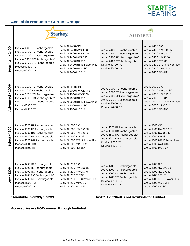

# **Available Products – Current Groups**

|                                 | <b>Starkey</b>                                                                                                                                                                                                   |                                                                                                                                                                                                                     | AUDIBEL.                                                                                                                                                                |                                                                                                                                                                                                            |
|---------------------------------|------------------------------------------------------------------------------------------------------------------------------------------------------------------------------------------------------------------|---------------------------------------------------------------------------------------------------------------------------------------------------------------------------------------------------------------------|-------------------------------------------------------------------------------------------------------------------------------------------------------------------------|------------------------------------------------------------------------------------------------------------------------------------------------------------------------------------------------------------|
| 2400<br>$\mathbf{I}$<br>Premium | Evolv AI 2400 ITE Rechargeable<br>Evolv AI 2400 HS Rechargeable<br>Evolv AI 2400 ITC Rechargeable<br>Evolv AI 2400 RIC Rechargeable*<br>Evolv AI 2400 BTE Rechargeable<br>Picasso i2400 ITC<br>Picasso I2400 ITE | Evolv AI 2400 CIC<br>Evolv AI 2400 NW CIC 312<br>Evolv AI 2400 NW CIC 10<br>Evolv AI 2400 NW IIC 10<br>Evolv AI 2400 BTE 13*<br>Evolv AI 2400 BTE 13 Power Plus<br>Evolv AI 2400 mRIC 312<br>Evolv AI 2400 RIC 312* | Arc AI 2400 ITE Rechargeable<br>Arc Al 2400 ITC Rechargeable<br>Arc Al 2400 RIC Rechargeable*<br>Arc Al 2400 BTE Rechargeable<br>Davinci i2400 ITC<br>Davinci i2400 ITE | <b>Arc AI 2400 CIC</b><br>Arc AI 2400 NW CIC 312<br>Arc AI 2400 NW CIC 10<br>Arc AI 2400 NW IIC 10<br>Arc AI 2400 BTE 13*<br>Arc AI 2400 BTE 13 Power Plus<br>Arc AI 2400 mRIC 312<br>Arc AI 2400 RIC 312* |
| 2000<br>Advanced-               | Evolv AI 2000 ITE Rechargeable<br>Evolv AI 2000 HS Rechargeable<br>Evolv AI 2000 ITC Rechargeable<br>Evolv AI 2000 RIC Rechargeable*<br>Evolv AI 2000 BTE Rechargeable<br>Picasso i2000 ITC<br>Picasso I2000 ITE | Evolv AI 2000 CIC<br>Evoly AI 2000 NW CIC 312<br>Evolv AI 2000 NW CIC 10<br>Evolv AI 2000 BTE 13*<br>Evoly AI 2000 BTE 13 Power Plus<br><b>Evolv AI 2000 mRIC 312</b><br>Evolv AI 2000 RIC 312*                     | Arc AI 2000 ITE Rechargeable<br>Arc AI 2000 ITC Rechargeable<br>Arc Al 2000 RIC Rechargeable*<br>Arc AI 2.00 BTE Rechargeable<br>Davinci i2000 ITC<br>Davinci i2000 ITE | <b>Arc AI 2000 CIC</b><br>Arc AI 2000 NW CIC 312<br>Arc AI 2000 NW CIC 10<br>Arc AI 2000 BTE 13*<br>Arc AI 2000 BTE 13 Power Plus<br>Arc AI 2000 mRIC 312<br>Arc AI 2000 RIC 312*                          |
| Select-1600                     | Evolv AI 1600 ITE Rechargeable<br>Evolv AI 1600 HS Rechargeable<br>Evolv AI 1600 ITC Rechargeable<br>Evolv AI 1600 RIC Rechargeable*<br>Evolv AI 1600 BTE Rechargeable<br>Picasso i1600 ITC<br>Picasso I1600 ITE | Evolv AI 1600 CIC<br>Evolv AI 1600 NW CIC 312<br>Evolv AI 1600 NW CIC 10<br>Evolv AI 1600 BTE 13*<br>Evolv AI 1600 BTE 13 Power Plus<br>Evolv AI 1600 mRIC 312<br>Evolv AI 1600 RIC 312*                            | Arc AI 1600 ITE Rechargeable<br>Arc AI 1600 ITC Rechargeable<br>Arc AI 1600 RIC Rechargeable*<br>Arc AI 1600 BTE Rechargeable<br>Davinci i1600 ITC<br>Davinci i1600 ITE | <b>Arc AI 1600 CIC</b><br>Arc AI 1600 NW CIC 312<br>Arc AI 1600 NW CIC 10<br>Arc AI 1600 BTE 13*<br>Arc AI 1600 BTE 13 Power Plus<br>Arc AI 1600 mRIC 312<br>Arc AI 1600 RIC 312*                          |
| $-1200$<br>Low                  | Evolv AI 1200 ITE Rechargeable<br>Evolv AI 1200 HS Rechargeable<br>Evolv AI 1200 ITC Rechargeable<br>Evolv AI 1200 RIC Rechargeable*<br>Evolv AI 1200 BTE Rechargeable<br>Picasso il200 ITC<br>Picasso I1200 ITE | Evolv AI 1200 CIC<br>Evolv AI 1200 NW CIC 312<br>Evolv AI 1200 NW CIC 10<br>Evolv AI 1200 BTE 13*<br>Evolv AI 1200 BTE 13 Power Plus<br>Evolv AI 1200 mRIC 312<br>Evolv AI 1200 RIC 312*                            | Arc AI 1200 ITE Rechargeable<br>Arc AI 1200 ITC Rechargeable<br>Arc Al 1200 RIC Rechargeable*<br>Arc AI 1200 BTE Rechargeable<br>Davinci il200 ITC<br>Davinci il200 ITE | Arc Al 1200 CIC<br>Arc AI 1200 NW CIC 312<br>Arc AI 1200 NW CIC 10<br>Arc AI 1200 BTE 13*<br>Arc AI 1200 BTE 13 Power Plus<br>Arc Al 1200 mRIC 312<br>Arc AI 1200 RIC 312*                                 |

**\*Available in CROS/BICROS NOTE: Half Shell is not available for Audibel** 

# **Accessories are NOT covered through AudioNet.**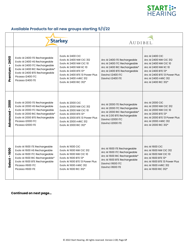

# **Available Products for all new groups starting 5/1/22**

|                                  |                                                                                                                                                                                                                  | <b>Starkey</b>                                                                                                                                                                                                      | AUDIBEL.                                                                                                                                                                |                                                                                                                                                                                                            |
|----------------------------------|------------------------------------------------------------------------------------------------------------------------------------------------------------------------------------------------------------------|---------------------------------------------------------------------------------------------------------------------------------------------------------------------------------------------------------------------|-------------------------------------------------------------------------------------------------------------------------------------------------------------------------|------------------------------------------------------------------------------------------------------------------------------------------------------------------------------------------------------------|
| 2400<br>$\mathbf{I}$<br>Premium  | Evolv AI 2400 ITE Rechargeable<br>Evolv AI 2400 HS Rechargeable<br>Evolv AI 2400 ITC Rechargeable<br>Evolv AI 2400 RIC Rechargeable*<br>Evolv AI 2400 BTE Rechargeable<br>Picasso i2400 ITC<br>Picasso I2400 ITE | Evolv AI 2400 CIC<br>Evoly AI 2400 NW CIC 312<br>Evoly AI 2400 NW CIC 10<br>Evolv AI 2400 NW IIC 10<br>Evolv AI 2400 BTE 13*<br>Evoly AI 2400 BTE 13 Power Plus<br>Evolv AI 2400 mRIC 312<br>Evolv AI 2400 RIC 312* | Arc Al 2400 ITE Rechargeable<br>Arc Al 2400 ITC Rechargeable<br>Arc Al 2400 RIC Rechargeable*<br>Arc Al 2400 BTE Rechargeable<br>Davinci i2400 ITC<br>Davinci i2400 ITE | <b>Arc AI 2400 CIC</b><br>Arc AI 2400 NW CIC 312<br>Arc AI 2400 NW CIC 10<br>Arc AI 2400 NW IIC 10<br>Arc AI 2400 BTE 13*<br>Arc AI 2400 BTE 13 Power Plus<br>Arc AI 2400 mRIC 312<br>Arc AI 2400 RIC 312* |
| 2000<br>$\mathbf{I}$<br>Advanced | Evolv AI 2000 ITE Rechargeable<br>Evolv AI 2000 HS Rechargeable<br>Evolv AI 2000 ITC Rechargeable<br>Evolv AI 2000 RIC Rechargeable*<br>Evolv AI 2000 BTE Rechargeable<br>Picasso i2000 ITC<br>Picasso I2000 ITE | Evolv AI 2000 CIC<br><b>Evolv AI 2000 NW CIC 312</b><br><b>Evolv AI 2000 NW CIC 10</b><br>Evolv AI 2000 BTE 13*<br>Evolv AI 2000 BTE 13 Power Plus<br>Evolv AI 2000 mRIC 312<br>Evolv AI 2000 RIC 312*              | Arc AI 2000 ITE Rechargeable<br>Arc AI 2000 ITC Rechargeable<br>Arc Al 2000 RIC Rechargeable*<br>Arc Al 2.00 BTE Rechargeable<br>Davinci i2000 ITC<br>Davinci i2000 ITE | <b>Arc AI 2000 CIC</b><br>Arc AI 2000 NW CIC 312<br>Arc AI 2000 NW CIC 10<br>Arc AI 2000 BTE 13*<br>Arc AI 2000 BTE 13 Power Plus<br>Arc AI 2000 mRIC 312<br>Arc AI 2000 RIC 312*                          |
| 1600<br>Select-                  | Evolv AI 1600 ITE Rechargeable<br>Evolv AI 1600 HS Rechargeable<br>Evolv AI 1600 ITC Rechargeable<br>Evolv AI 1600 RIC Rechargeable*<br>Evolv AI 1600 BTE Rechargeable<br>Picasso i1600 ITC<br>Picasso I1600 ITE | Evolv AI 1600 CIC<br>Evolv AI 1600 NW CIC 312<br><b>Evolv AI 1600 NW CIC 10</b><br>Evolv AI 1600 BTE 13*<br>Evoly AI 1600 BTE 13 Power Plus<br>Evolv AI 1600 mRIC 312<br>Evolv AI 1600 RIC 312*                     | Arc AI 1600 ITE Rechargeable<br>Arc AI 1600 ITC Rechargeable<br>Arc Al 1600 RIC Rechargeable*<br>Arc AI 1600 BTE Rechargeable<br>Davinci i1600 ITC<br>Davinci i1600 ITE | <b>Arc AI 1600 CIC</b><br>Arc AI 1600 NW CIC 312<br>Arc AI 1600 NW CIC 10<br>Arc AI 1600 BTE 13*<br>Arc AI 1600 BTE 13 Power Plus<br>Arc AI 1600 mRIC 312<br>Arc AI 1600 RIC 312*                          |

# **Continued on next page…**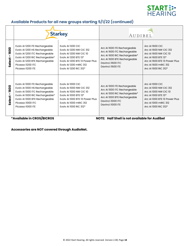

# **Available Products for all new groups starting 5/1/22 (continued)**

|                | <b>Starkey</b>                                                                                                                                                                                                   |                                                                                                                                                                                                        | AUDIBEL                                                                                                                                                                 |                                                                                                                                                                                   |
|----------------|------------------------------------------------------------------------------------------------------------------------------------------------------------------------------------------------------------------|--------------------------------------------------------------------------------------------------------------------------------------------------------------------------------------------------------|-------------------------------------------------------------------------------------------------------------------------------------------------------------------------|-----------------------------------------------------------------------------------------------------------------------------------------------------------------------------------|
| 1600<br>Select | Evolv AI 1200 ITE Rechargeable<br>Evolv AI 1200 HS Rechargeable<br>Evolv AI 1200 ITC Rechargeable<br>Evolv AI 1200 RIC Rechargeable*<br>Evolv AI 1200 BTE Rechargeable<br>Picasso il200 ITC<br>Picasso I1200 ITE | Evolv AI 1200 CIC<br><b>Evolv AI 1200 NW CIC 312</b><br><b>Evolv AI 1200 NW CIC 10</b><br>Evolv AI 1200 BTE 13*<br>Evoly AI 1200 BTE 13 Power Plus<br>Evolv AI 1200 mRIC 312<br>Evolv AI 1200 RIC 312* | Arc AI 1600 ITE Rechargeable<br>Arc AI 1600 ITC Rechargeable<br>Arc Al 1600 RIC Rechargeable*<br>Arc AI 1600 BTE Rechargeable<br>Davinci i1600 ITC<br>Davinci i1600 ITE | Arc AI 1600 CIC<br>Arc AI 1600 NW CIC 312<br>Arc AI 1600 NW CIC 10<br>Arc AI 1600 BTE 13*<br>Arc AI 1600 BTE 13 Power Plus<br>Arc AI 1600 mRIC 312<br>Arc AI 1600 RIC 312*        |
| 1600<br>Select | Evolv AI 1000 ITE Rechargeable<br>Evolv AI 1000 HS Rechargeable<br>Evolv AI 1000 ITC Rechargeable<br>Evolv AI 1000 RIC Rechargeable*<br>Evolv AI 1000 BTE Rechargeable<br>Picasso i1000 ITC<br>Picasso I1000 ITE | Evolv AI 1000 CIC<br>Evolv AI 1000 NW CIC 312<br><b>Evolv AI 1000 NW CIC 10</b><br>Evolv AI 1000 BTE 13*<br>Evoly AI 1000 BTE 13 Power Plus<br>Evolv AI 1000 mRIC 312<br>Evolv AI 1000 RIC 312*        | Arc AI 1000 ITE Rechargeable<br>Arc AI 1000 ITC Rechargeable<br>Arc AI 1000 RIC Rechargeable*<br>Arc AI 1000 BTE Rechargeable<br>Davinci i1000 ITC<br>Davinci i1000 ITE | <b>Arc AI 1000 CIC</b><br>Arc AI 1000 NW CIC 312<br>Arc AI 1000 NW CIC 10<br>Arc AI 1000 BTE 13*<br>Arc AI 1000 BTE 13 Power Plus<br>Arc AI 1000 mRIC 312<br>Arc AI 1000 RIC 312* |

**\*Available in CROS/BICROS NOTE: Half Shell is not available for Audibel** 

**Accessories are NOT covered through AudioNet.**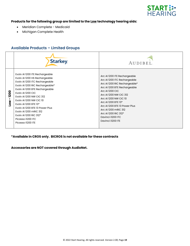

# **Products for the following group are limited to the Low technology hearing aids:**

- Meridian Complete Medicaid
- Michigan Complete Health

# **Available Products – Limited Groups**

|                   | <b>Starkey</b>                                                                                                                                                                                                                                                                                                                                                                                                | AUDIBEL                                                                                                                                                                                                                                                                                                                                                      |
|-------------------|---------------------------------------------------------------------------------------------------------------------------------------------------------------------------------------------------------------------------------------------------------------------------------------------------------------------------------------------------------------------------------------------------------------|--------------------------------------------------------------------------------------------------------------------------------------------------------------------------------------------------------------------------------------------------------------------------------------------------------------------------------------------------------------|
| 1200<br>J.<br>Low | Evolv AI 1200 ITE Rechargeable<br>Evolv AI 1200 HS Rechargeable<br>Evolv AI 1200 ITC Rechargeable<br>Evolv AI 1200 RIC Rechargeable*<br>Evolv AI 1200 BTE Rechargeable<br>Evolv AI 1200 CIC<br>Evolv AI 1200 NW CIC 312<br>Evolv AI 1200 NW CIC 10<br>Evolv AI 1200 BTE 13*<br>Evoly AI 1200 BTE 13 Power Plus<br>Evoly AI 1200 mRIC 312<br>Evolv AI 1200 RIC 312*<br>Picasso il 200 ITC<br>Picasso I1200 ITE | Arc AI 1200 ITE Rechargeable<br>Arc AI 1200 ITC Rechargeable<br>Arc AI 1200 RIC Rechargeable*<br>Arc AI 1200 BTE Rechargeable<br><b>Arc AI 1200 CIC</b><br>Arc AI 1200 NW CIC 312<br>Arc AI 1200 NW CIC 10<br>Arc AI 1200 BTE 13*<br>Arc AI 1200 BTE 13 Power Plus<br>Arc AI 1200 mRIC 312<br>Arc AI 1200 RIC 312*<br>Davinci il200 ITC<br>Davinci il200 ITE |

**\*Available in CROS only. BICROS is not available for these contracts**

**Accessories are NOT covered through AudioNet.**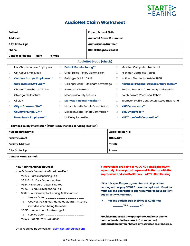

# **AudioNet Claim Worksheet**

| <b>Patient:</b>                                                                 | <b>Patient Date of Birth:</b>                                                                      |
|---------------------------------------------------------------------------------|----------------------------------------------------------------------------------------------------|
| <b>Address:</b>                                                                 | <b>AudioNet Given ID Number:</b>                                                                   |
| City, State, Zip:                                                               | <b>Authorization Number:</b>                                                                       |
| Phone:                                                                          | ICD-10 Diagnosis Code:                                                                             |
| <b>Gender of Patient:</b><br>Female<br>Male                                     |                                                                                                    |
|                                                                                 | <b>AudioNet Group (check)</b>                                                                      |
| Fiat Chrysler Active Employees<br><b>Detroit Manufacturing**</b><br>$\Box$<br>□ | Meridian Complete - Medicaid<br>□                                                                  |
| <b>GM Active Employees</b><br>$\Box$<br>П                                       | Great Lakes Fishery Commission<br>Michigan Complete Health<br>П                                    |
| <b>Cardinal Carryor Employees**</b><br>Geisinger Gold - DSNP<br>□<br>□          | National Elevator Industries (NEI)<br>П                                                            |
| <b>Carpenters H&amp;W Fund**</b><br>□<br>П                                      | <b>Northeast Regional Council of Carpenters**</b><br>Geisinger Gold - Medicare Advantage<br>$\Box$ |
| Charter Township of Clinton<br>Italmatch Chemical<br>□<br>П                     | Rancho Santiago Community College Dist.<br>□                                                       |
| Chicago Tile Institute<br><b>Macomb County Retirees</b><br>□<br>□               | South Dakota Vocational Rehab<br>П                                                                 |
| <b>Marlette Regional Hospital**</b><br>Circle K<br>□<br>П                       | Teamsters-Ohio Contractors Assoc H&W Fund<br>П                                                     |
| <b>City of Spokane, WA**</b><br>$\Box$<br>Ω                                     | Massachusetts Rehab Commission<br><b>YKK Dependents**</b><br>Ω                                     |
| <b>County of Kings, CA**</b><br>$\Box$<br>$\Box$                                | YKK Employees**<br>Massachusetts Rehab Commission<br>Ω                                             |
| <b>Dawn Foods Employees**</b><br><b>McKinley Properties</b><br>Ω<br>$\Box$      | <b>YKK Tape Craft Corporation**</b><br>□                                                           |

#### **Service Facility Information (Must list authorized servicing location)**

| <b>Audiologists Name:</b> | <b>Audiologists NPI:</b> |  |
|---------------------------|--------------------------|--|
| <b>Facility Name:</b>     | <b>Office NPI:</b>       |  |
| <b>Facility Address:</b>  | Tax ID:                  |  |
| City, State, Zip          | <b>Phone:</b>            |  |
| Contact Name C. Email:    |                          |  |

**Contact Name & Email:** 

#### **New Hearing Aid Claim Codes**

#### *If code is not checked, it will not be billed.*

- □ V5200 Cros Dispensing Fee
- V5240 Bi-Cros Dispensing Fee
- V5241 Monaural Dispensing Fee
- V5160 Binaural Dispensing Fee
- □ S0618 Audiometry for Hearing Aid Evaluation
	- o Service Date: \_\_\_\_\_\_\_\_\_\_\_\_\_\_\_\_\_\_\_\_\_
	- o Copy of the signed / dated audiogram must be included when billing this code.
- □ V5010 Assessment for Hearing aid
	- o Service date: \_\_\_\_\_\_\_\_\_\_\_\_\_\_\_\_\_\_\_\_\_\_
- □ V5020 Conformity Evaluation

**If impressions are being sent, DO NOT email paperwork separately. Please put all paperwork in the box with the impressions and send to Starkey – ATTN: Start Hearing**

**\*\*For this specific group, members MUST pay their hearing aid co-pay BEFORE the order is placed. Provider must call the appropriate phone number to have patient pay directly to AudioNet.**

• **Has the patient paid their fee to AudioNet?** 

**\_\_\_\_\_ YES \_\_\_\_\_ NO**

**Providers must call the appropriate AudioNet phone number to obtain the correct ID number and authorization number before any services are rendered.**

Email required paperwork to: [claims@starthearing.com](mailto:ahbclaims@starthearing.com)